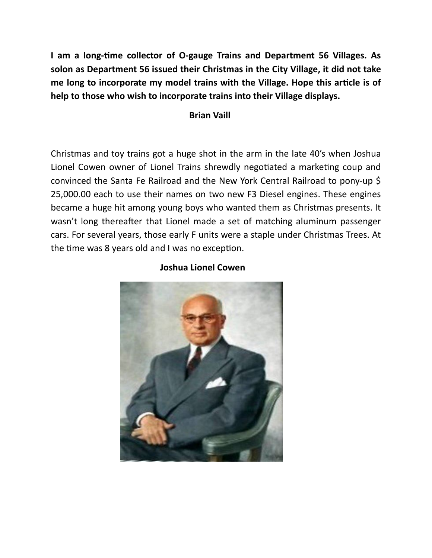**I am a long-time collector of O-gauge Trains and Department 56 Villages. As solon as Department 56 issued their Christmas in the City Village, it did not take me long to incorporate my model trains with the Village. Hope this article is of help to those who wish to incorporate trains into their Village displays.** 

## **Brian Vaill**

Christmas and toy trains got a huge shot in the arm in the late 40's when Joshua Lionel Cowen owner of Lionel Trains shrewdly negotiated a marketing coup and convinced the Santa Fe Railroad and the New York Central Railroad to pony-up \$ 25,000.00 each to use their names on two new F3 Diesel engines. These engines became a huge hit among young boys who wanted them as Christmas presents. It wasn't long thereafter that Lionel made a set of matching aluminum passenger cars. For several years, those early F units were a staple under Christmas Trees. At the time was 8 years old and I was no exception.



## **Joshua Lionel Cowen**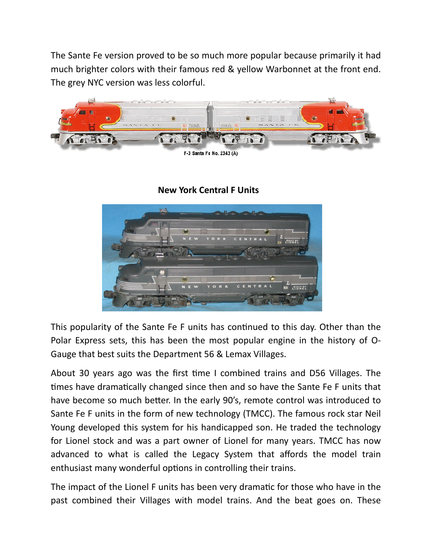The Sante Fe version proved to be so much more popular because primarily it had much brighter colors with their famous red & yellow Warbonnet at the front end. The grey NYC version was less colorful.



F-3 Santa Fe No. 2343 (A)

## **New York Central F Units**



This popularity of the Sante Fe F units has continued to this day. Other than the Polar Express sets, this has been the most popular engine in the history of O-Gauge that best suits the Department 56 & Lemax Villages.

About 30 years ago was the first time I combined trains and D56 Villages. The times have dramatically changed since then and so have the Sante Fe F units that have become so much better. In the early 90's, remote control was introduced to Sante Fe F units in the form of new technology (TMCC). The famous rock star Neil Young developed this system for his handicapped son. He traded the technology for Lionel stock and was a part owner of Lionel for many years. TMCC has now advanced to what is called the Legacy System that affords the model train enthusiast many wonderful options in controlling their trains.

The impact of the Lionel F units has been very dramatic for those who have in the past combined their Villages with model trains. And the beat goes on. These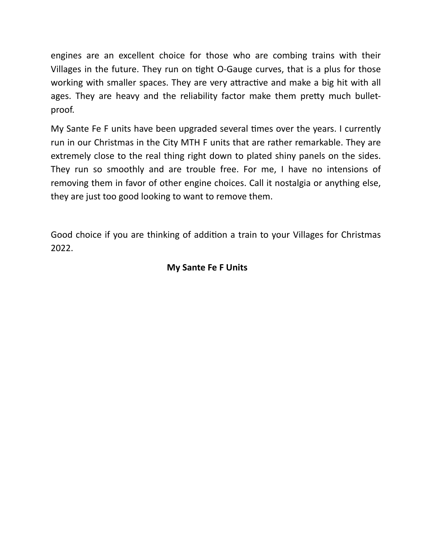engines are an excellent choice for those who are combing trains with their Villages in the future. They run on tight O-Gauge curves, that is a plus for those working with smaller spaces. They are very attractive and make a big hit with all ages. They are heavy and the reliability factor make them pretty much bulletproof.

My Sante Fe F units have been upgraded several times over the years. I currently run in our Christmas in the City MTH F units that are rather remarkable. They are extremely close to the real thing right down to plated shiny panels on the sides. They run so smoothly and are trouble free. For me, I have no intensions of removing them in favor of other engine choices. Call it nostalgia or anything else, they are just too good looking to want to remove them.

Good choice if you are thinking of addition a train to your Villages for Christmas 2022.

## **My Sante Fe F Units**